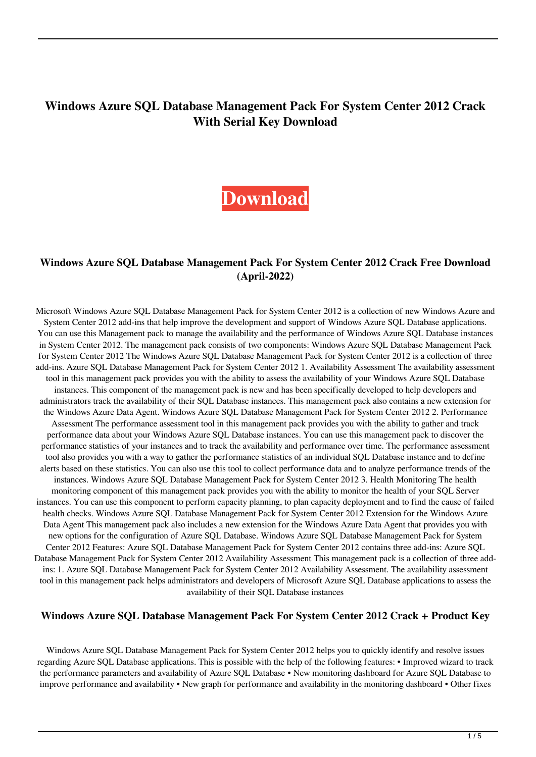# **Windows Azure SQL Database Management Pack For System Center 2012 Crack With Serial Key Download**



#### **Windows Azure SQL Database Management Pack For System Center 2012 Crack Free Download (April-2022)**

Microsoft Windows Azure SQL Database Management Pack for System Center 2012 is a collection of new Windows Azure and System Center 2012 add-ins that help improve the development and support of Windows Azure SQL Database applications. You can use this Management pack to manage the availability and the performance of Windows Azure SQL Database instances in System Center 2012. The management pack consists of two components: Windows Azure SQL Database Management Pack for System Center 2012 The Windows Azure SQL Database Management Pack for System Center 2012 is a collection of three add-ins. Azure SQL Database Management Pack for System Center 2012 1. Availability Assessment The availability assessment tool in this management pack provides you with the ability to assess the availability of your Windows Azure SQL Database instances. This component of the management pack is new and has been specifically developed to help developers and administrators track the availability of their SQL Database instances. This management pack also contains a new extension for the Windows Azure Data Agent. Windows Azure SQL Database Management Pack for System Center 2012 2. Performance Assessment The performance assessment tool in this management pack provides you with the ability to gather and track performance data about your Windows Azure SQL Database instances. You can use this management pack to discover the performance statistics of your instances and to track the availability and performance over time. The performance assessment tool also provides you with a way to gather the performance statistics of an individual SQL Database instance and to define alerts based on these statistics. You can also use this tool to collect performance data and to analyze performance trends of the instances. Windows Azure SQL Database Management Pack for System Center 2012 3. Health Monitoring The health monitoring component of this management pack provides you with the ability to monitor the health of your SQL Server instances. You can use this component to perform capacity planning, to plan capacity deployment and to find the cause of failed health checks. Windows Azure SQL Database Management Pack for System Center 2012 Extension for the Windows Azure Data Agent This management pack also includes a new extension for the Windows Azure Data Agent that provides you with new options for the configuration of Azure SQL Database. Windows Azure SQL Database Management Pack for System Center 2012 Features: Azure SQL Database Management Pack for System Center 2012 contains three add-ins: Azure SQL Database Management Pack for System Center 2012 Availability Assessment This management pack is a collection of three addins: 1. Azure SQL Database Management Pack for System Center 2012 Availability Assessment. The availability assessment tool in this management pack helps administrators and developers of Microsoft Azure SQL Database applications to assess the availability of their SQL Database instances

#### **Windows Azure SQL Database Management Pack For System Center 2012 Crack + Product Key**

Windows Azure SQL Database Management Pack for System Center 2012 helps you to quickly identify and resolve issues regarding Azure SQL Database applications. This is possible with the help of the following features: • Improved wizard to track the performance parameters and availability of Azure SQL Database • New monitoring dashboard for Azure SQL Database to improve performance and availability • New graph for performance and availability in the monitoring dashboard • Other fixes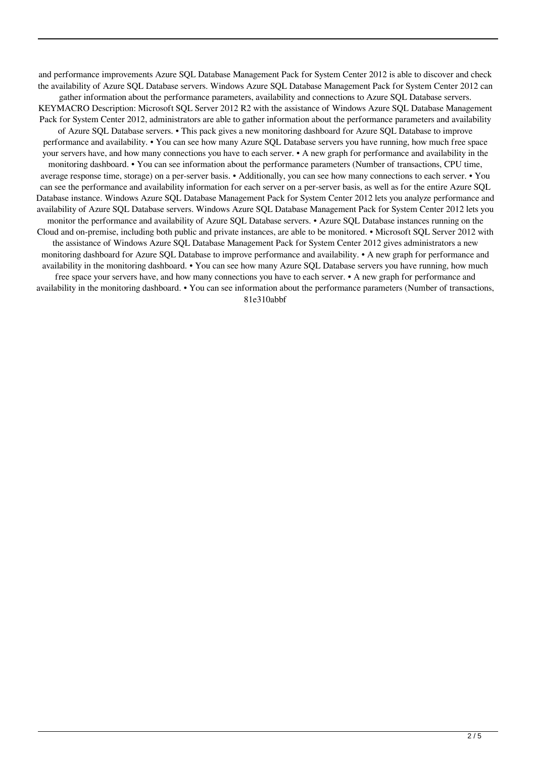and performance improvements Azure SQL Database Management Pack for System Center 2012 is able to discover and check the availability of Azure SQL Database servers. Windows Azure SQL Database Management Pack for System Center 2012 can gather information about the performance parameters, availability and connections to Azure SQL Database servers. KEYMACRO Description: Microsoft SQL Server 2012 R2 with the assistance of Windows Azure SQL Database Management Pack for System Center 2012, administrators are able to gather information about the performance parameters and availability of Azure SQL Database servers. • This pack gives a new monitoring dashboard for Azure SQL Database to improve performance and availability. • You can see how many Azure SQL Database servers you have running, how much free space your servers have, and how many connections you have to each server. • A new graph for performance and availability in the monitoring dashboard. • You can see information about the performance parameters (Number of transactions, CPU time, average response time, storage) on a per-server basis. • Additionally, you can see how many connections to each server. • You can see the performance and availability information for each server on a per-server basis, as well as for the entire Azure SQL Database instance. Windows Azure SQL Database Management Pack for System Center 2012 lets you analyze performance and availability of Azure SQL Database servers. Windows Azure SQL Database Management Pack for System Center 2012 lets you monitor the performance and availability of Azure SQL Database servers. • Azure SQL Database instances running on the Cloud and on-premise, including both public and private instances, are able to be monitored. • Microsoft SQL Server 2012 with the assistance of Windows Azure SQL Database Management Pack for System Center 2012 gives administrators a new monitoring dashboard for Azure SQL Database to improve performance and availability. • A new graph for performance and availability in the monitoring dashboard. • You can see how many Azure SQL Database servers you have running, how much free space your servers have, and how many connections you have to each server. • A new graph for performance and availability in the monitoring dashboard. • You can see information about the performance parameters (Number of transactions, 81e310abbf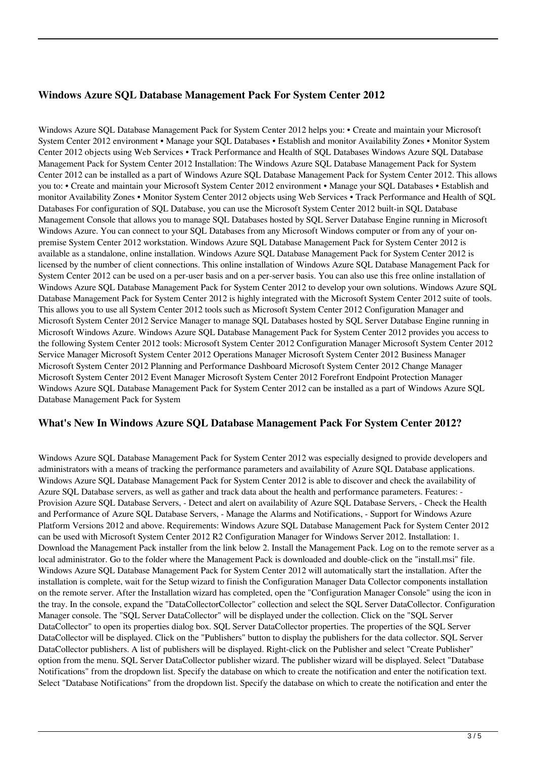### **Windows Azure SQL Database Management Pack For System Center 2012**

Windows Azure SQL Database Management Pack for System Center 2012 helps you: • Create and maintain your Microsoft System Center 2012 environment • Manage your SQL Databases • Establish and monitor Availability Zones • Monitor System Center 2012 objects using Web Services • Track Performance and Health of SQL Databases Windows Azure SQL Database Management Pack for System Center 2012 Installation: The Windows Azure SQL Database Management Pack for System Center 2012 can be installed as a part of Windows Azure SQL Database Management Pack for System Center 2012. This allows you to: • Create and maintain your Microsoft System Center 2012 environment • Manage your SQL Databases • Establish and monitor Availability Zones • Monitor System Center 2012 objects using Web Services • Track Performance and Health of SQL Databases For configuration of SQL Database, you can use the Microsoft System Center 2012 built-in SQL Database Management Console that allows you to manage SQL Databases hosted by SQL Server Database Engine running in Microsoft Windows Azure. You can connect to your SQL Databases from any Microsoft Windows computer or from any of your onpremise System Center 2012 workstation. Windows Azure SQL Database Management Pack for System Center 2012 is available as a standalone, online installation. Windows Azure SQL Database Management Pack for System Center 2012 is licensed by the number of client connections. This online installation of Windows Azure SQL Database Management Pack for System Center 2012 can be used on a per-user basis and on a per-server basis. You can also use this free online installation of Windows Azure SQL Database Management Pack for System Center 2012 to develop your own solutions. Windows Azure SQL Database Management Pack for System Center 2012 is highly integrated with the Microsoft System Center 2012 suite of tools. This allows you to use all System Center 2012 tools such as Microsoft System Center 2012 Configuration Manager and Microsoft System Center 2012 Service Manager to manage SQL Databases hosted by SQL Server Database Engine running in Microsoft Windows Azure. Windows Azure SQL Database Management Pack for System Center 2012 provides you access to the following System Center 2012 tools: Microsoft System Center 2012 Configuration Manager Microsoft System Center 2012 Service Manager Microsoft System Center 2012 Operations Manager Microsoft System Center 2012 Business Manager Microsoft System Center 2012 Planning and Performance Dashboard Microsoft System Center 2012 Change Manager Microsoft System Center 2012 Event Manager Microsoft System Center 2012 Forefront Endpoint Protection Manager Windows Azure SQL Database Management Pack for System Center 2012 can be installed as a part of Windows Azure SQL Database Management Pack for System

#### **What's New In Windows Azure SQL Database Management Pack For System Center 2012?**

Windows Azure SQL Database Management Pack for System Center 2012 was especially designed to provide developers and administrators with a means of tracking the performance parameters and availability of Azure SQL Database applications. Windows Azure SQL Database Management Pack for System Center 2012 is able to discover and check the availability of Azure SQL Database servers, as well as gather and track data about the health and performance parameters. Features: - Provision Azure SQL Database Servers, - Detect and alert on availability of Azure SQL Database Servers, - Check the Health and Performance of Azure SQL Database Servers, - Manage the Alarms and Notifications, - Support for Windows Azure Platform Versions 2012 and above. Requirements: Windows Azure SQL Database Management Pack for System Center 2012 can be used with Microsoft System Center 2012 R2 Configuration Manager for Windows Server 2012. Installation: 1. Download the Management Pack installer from the link below 2. Install the Management Pack. Log on to the remote server as a local administrator. Go to the folder where the Management Pack is downloaded and double-click on the "install.msi" file. Windows Azure SQL Database Management Pack for System Center 2012 will automatically start the installation. After the installation is complete, wait for the Setup wizard to finish the Configuration Manager Data Collector components installation on the remote server. After the Installation wizard has completed, open the "Configuration Manager Console" using the icon in the tray. In the console, expand the "DataCollectorCollector" collection and select the SQL Server DataCollector. Configuration Manager console. The "SQL Server DataCollector" will be displayed under the collection. Click on the "SQL Server DataCollector" to open its properties dialog box. SQL Server DataCollector properties. The properties of the SQL Server DataCollector will be displayed. Click on the "Publishers" button to display the publishers for the data collector. SQL Server DataCollector publishers. A list of publishers will be displayed. Right-click on the Publisher and select "Create Publisher" option from the menu. SQL Server DataCollector publisher wizard. The publisher wizard will be displayed. Select "Database Notifications" from the dropdown list. Specify the database on which to create the notification and enter the notification text. Select "Database Notifications" from the dropdown list. Specify the database on which to create the notification and enter the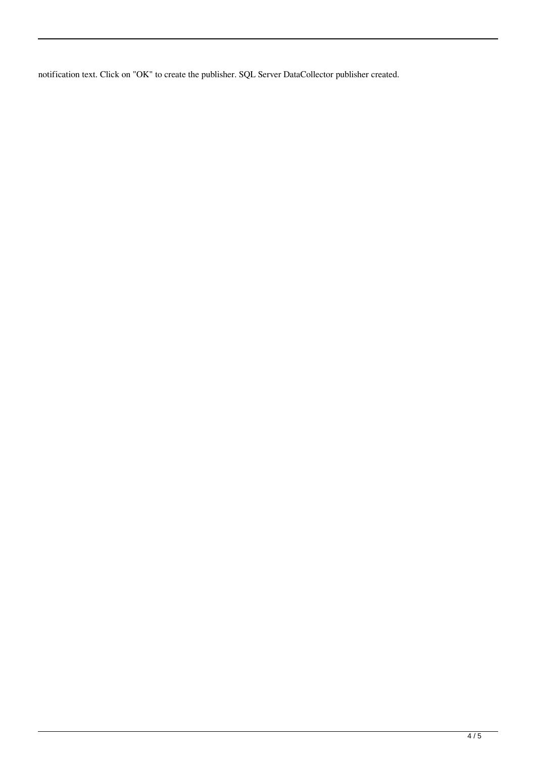notification text. Click on "OK" to create the publisher. SQL Server DataCollector publisher created.